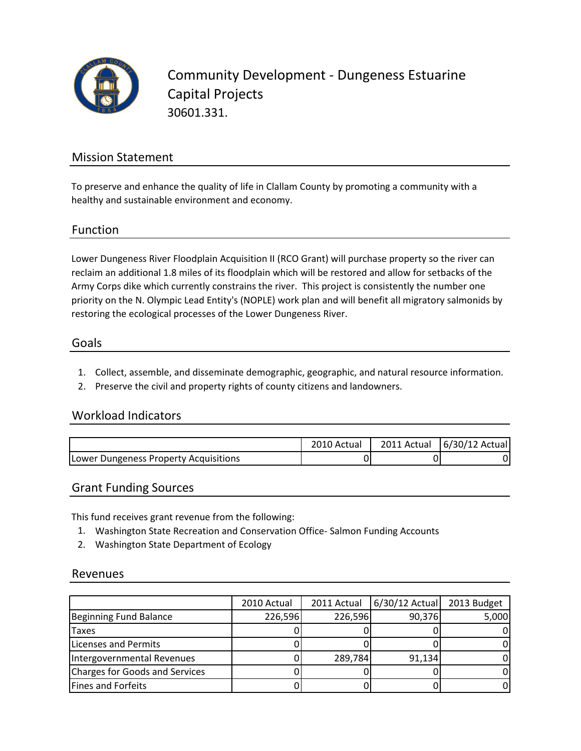

Community Development - Dungeness Estuarine Capital Projects 30601.331.

### Mission Statement

To preserve and enhance the quality of life in Clallam County by promoting a community with a healthy and sustainable environment and economy.

#### Function

Lower Dungeness River Floodplain Acquisition II (RCO Grant) will purchase property so the river can reclaim an additional 1.8 miles of its floodplain which will be restored and allow for setbacks of the Army Corps dike which currently constrains the river. This project is consistently the number one priority on the N. Olympic Lead Entity's (NOPLE) work plan and will benefit all migratory salmonids by restoring the ecological processes of the Lower Dungeness River.

#### Goals

- 1. Collect, assemble, and disseminate demographic, geographic, and natural resource information.
- 2. Preserve the civil and property rights of county citizens and landowners.

#### Workload Indicators

|                                       | 2010 Actual | 2011 Actual   6/30/12 Actual |
|---------------------------------------|-------------|------------------------------|
| Lower Dungeness Property Acquisitions |             |                              |

#### Grant Funding Sources

This fund receives grant revenue from the following:

- 1. Washington State Recreation and Conservation Office- Salmon Funding Accounts
- 2. Washington State Department of Ecology

#### Revenues

|                                | 2010 Actual | 2011 Actual | $6/30/12$ Actual | 2013 Budget |
|--------------------------------|-------------|-------------|------------------|-------------|
| <b>Beginning Fund Balance</b>  | 226,596     | 226,596     | 90,376           | 5,000       |
| <b>Taxes</b>                   |             |             |                  |             |
| Licenses and Permits           |             |             |                  |             |
| Intergovernmental Revenues     |             | 289,784     | 91,134           |             |
| Charges for Goods and Services |             |             |                  |             |
| <b>Fines and Forfeits</b>      |             |             |                  |             |